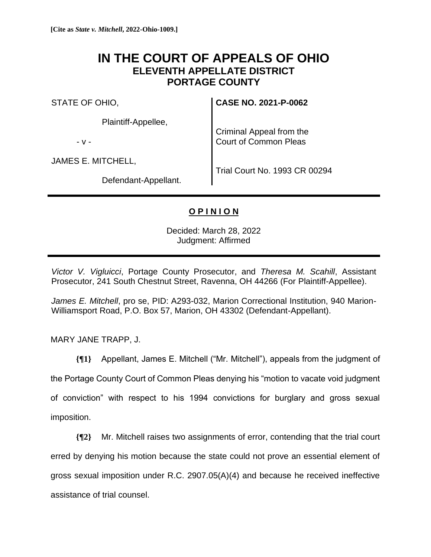# **IN THE COURT OF APPEALS OF OHIO ELEVENTH APPELLATE DISTRICT PORTAGE COUNTY**

STATE OF OHIO,

Plaintiff-Appellee,

- v -

JAMES E. MITCHELL,

Trial Court No. 1993 CR 00294

**CASE NO. 2021-P-0062**

Criminal Appeal from the Court of Common Pleas

Defendant-Appellant.

# **O P I N I O N**

Decided: March 28, 2022 Judgment: Affirmed

*Victor V. Vigluicci*, Portage County Prosecutor, and *Theresa M. Scahill*, Assistant Prosecutor, 241 South Chestnut Street, Ravenna, OH 44266 (For Plaintiff-Appellee).

*James E. Mitchell*, pro se, PID: A293-032, Marion Correctional Institution, 940 Marion-Williamsport Road, P.O. Box 57, Marion, OH 43302 (Defendant-Appellant).

MARY JANE TRAPP, J.

**{¶1}** Appellant, James E. Mitchell ("Mr. Mitchell"), appeals from the judgment of the Portage County Court of Common Pleas denying his "motion to vacate void judgment of conviction" with respect to his 1994 convictions for burglary and gross sexual imposition.

**{¶2}** Mr. Mitchell raises two assignments of error, contending that the trial court erred by denying his motion because the state could not prove an essential element of gross sexual imposition under R.C. 2907.05(A)(4) and because he received ineffective assistance of trial counsel.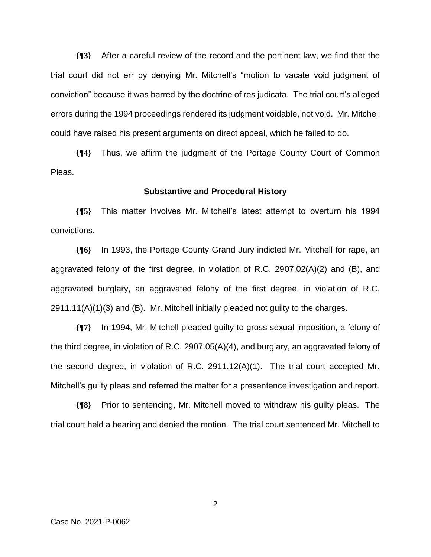**{¶3}** After a careful review of the record and the pertinent law, we find that the trial court did not err by denying Mr. Mitchell's "motion to vacate void judgment of conviction" because it was barred by the doctrine of res judicata. The trial court's alleged errors during the 1994 proceedings rendered its judgment voidable, not void. Mr. Mitchell could have raised his present arguments on direct appeal, which he failed to do.

**{¶4}** Thus, we affirm the judgment of the Portage County Court of Common Pleas.

#### **Substantive and Procedural History**

**{¶5}** This matter involves Mr. Mitchell's latest attempt to overturn his 1994 convictions.

**{¶6}** In 1993, the Portage County Grand Jury indicted Mr. Mitchell for rape, an aggravated felony of the first degree, in violation of R.C. 2907.02(A)(2) and (B), and aggravated burglary, an aggravated felony of the first degree, in violation of R.C. 2911.11(A)(1)(3) and (B). Mr. Mitchell initially pleaded not guilty to the charges.

**{¶7}** In 1994, Mr. Mitchell pleaded guilty to gross sexual imposition, a felony of the third degree, in violation of R.C. 2907.05(A)(4), and burglary, an aggravated felony of the second degree, in violation of R.C. 2911.12(A)(1). The trial court accepted Mr. Mitchell's guilty pleas and referred the matter for a presentence investigation and report.

**{¶8}** Prior to sentencing, Mr. Mitchell moved to withdraw his guilty pleas. The trial court held a hearing and denied the motion. The trial court sentenced Mr. Mitchell to

Case No. 2021-P-0062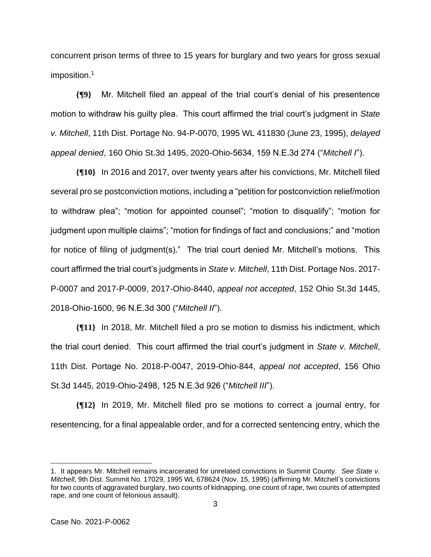concurrent prison terms of three to 15 years for burglary and two years for gross sexual imposition.<sup>1</sup>

**{¶9}** Mr. Mitchell filed an appeal of the trial court's denial of his presentence motion to withdraw his guilty plea. This court affirmed the trial court's judgment in *State v. Mitchell*, 11th Dist. Portage No. 94-P-0070, 1995 WL 411830 (June 23, 1995), *delayed appeal denied*, 160 Ohio St.3d 1495, 2020-Ohio-5634, 159 N.E.3d 274 ("*Mitchell I*").

**{¶10}** In 2016 and 2017, over twenty years after his convictions, Mr. Mitchell filed several pro se postconviction motions, including a "petition for postconviction relief/motion to withdraw plea"; "motion for appointed counsel"; "motion to disqualify"; "motion for judgment upon multiple claims"; "motion for findings of fact and conclusions;" and "motion for notice of filing of judgment(s)." The trial court denied Mr. Mitchell's motions. This court affirmed the trial court's judgments in *State v. Mitchell*, 11th Dist. Portage Nos. 2017- P-0007 and 2017-P-0009, 2017-Ohio-8440, *appeal not accepted*, 152 Ohio St.3d 1445, 2018-Ohio-1600, 96 N.E.3d 300 ("*Mitchell II*").

**{¶11}** In 2018, Mr. Mitchell filed a pro se motion to dismiss his indictment, which the trial court denied. This court affirmed the trial court's judgment in *State v. Mitchell*, 11th Dist. Portage No. 2018-P-0047, 2019-Ohio-844, *appeal not accepted*, 156 Ohio St.3d 1445, 2019-Ohio-2498, 125 N.E.3d 926 ("*Mitchell III*").

**{¶12}** In 2019, Mr. Mitchell filed pro se motions to correct a journal entry, for resentencing, for a final appealable order, and for a corrected sentencing entry, which the

<sup>1.</sup> It appears Mr. Mitchell remains incarcerated for unrelated convictions in Summit County. *See State v. Mitchell*, 9th Dist. Summit No. 17029, 1995 WL 678624 (Nov. 15, 1995) (affirming Mr. Mitchell's convictions for two counts of aggravated burglary, two counts of kidnapping, one count of rape, two counts of attempted rape, and one count of felonious assault).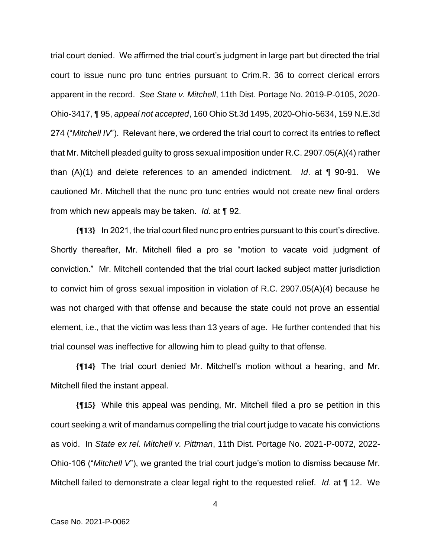trial court denied. We affirmed the trial court's judgment in large part but directed the trial court to issue nunc pro tunc entries pursuant to Crim.R. 36 to correct clerical errors apparent in the record. *See State v. Mitchell*, 11th Dist. Portage No. 2019-P-0105, 2020- Ohio-3417, ¶ 95, *appeal not accepted*, 160 Ohio St.3d 1495, 2020-Ohio-5634, 159 N.E.3d 274 ("*Mitchell IV*"). Relevant here, we ordered the trial court to correct its entries to reflect that Mr. Mitchell pleaded guilty to gross sexual imposition under R.C. 2907.05(A)(4) rather than (A)(1) and delete references to an amended indictment. *Id*. at ¶ 90-91. We cautioned Mr. Mitchell that the nunc pro tunc entries would not create new final orders from which new appeals may be taken. *Id*. at ¶ 92.

**{¶13}** In 2021, the trial court filed nunc pro entries pursuant to this court's directive. Shortly thereafter, Mr. Mitchell filed a pro se "motion to vacate void judgment of conviction." Mr. Mitchell contended that the trial court lacked subject matter jurisdiction to convict him of gross sexual imposition in violation of R.C. 2907.05(A)(4) because he was not charged with that offense and because the state could not prove an essential element, i.e., that the victim was less than 13 years of age. He further contended that his trial counsel was ineffective for allowing him to plead guilty to that offense.

**{¶14}** The trial court denied Mr. Mitchell's motion without a hearing, and Mr. Mitchell filed the instant appeal.

**{¶15}** While this appeal was pending, Mr. Mitchell filed a pro se petition in this court seeking a writ of mandamus compelling the trial court judge to vacate his convictions as void. In *State ex rel. Mitchell v. Pittman*, 11th Dist. Portage No. 2021-P-0072, 2022- Ohio-106 ("*Mitchell V*"), we granted the trial court judge's motion to dismiss because Mr. Mitchell failed to demonstrate a clear legal right to the requested relief. *Id*. at ¶ 12. We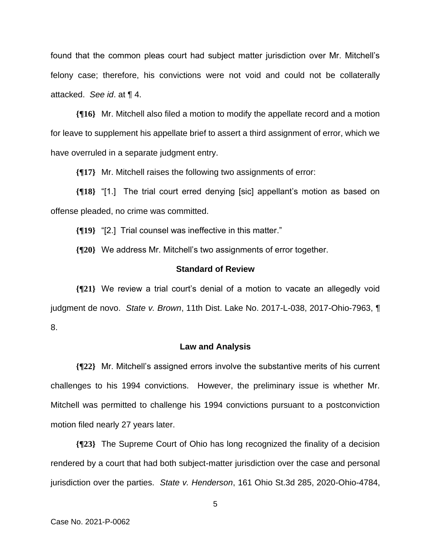found that the common pleas court had subject matter jurisdiction over Mr. Mitchell's felony case; therefore, his convictions were not void and could not be collaterally attacked. *See id*. at ¶ 4.

**{¶16}** Mr. Mitchell also filed a motion to modify the appellate record and a motion for leave to supplement his appellate brief to assert a third assignment of error, which we have overruled in a separate judgment entry.

**{¶17}** Mr. Mitchell raises the following two assignments of error:

**{¶18}** "[1.] The trial court erred denying [sic] appellant's motion as based on offense pleaded, no crime was committed.

**{¶19}** "[2.] Trial counsel was ineffective in this matter."

**{¶20}** We address Mr. Mitchell's two assignments of error together.

## **Standard of Review**

**{¶21}** We review a trial court's denial of a motion to vacate an allegedly void judgment de novo. *State v. Brown*, 11th Dist. Lake No. 2017-L-038, 2017-Ohio-7963, ¶ 8.

### **Law and Analysis**

**{¶22}** Mr. Mitchell's assigned errors involve the substantive merits of his current challenges to his 1994 convictions. However, the preliminary issue is whether Mr. Mitchell was permitted to challenge his 1994 convictions pursuant to a postconviction motion filed nearly 27 years later.

**{¶23}** The Supreme Court of Ohio has long recognized the finality of a decision rendered by a court that had both subject-matter jurisdiction over the case and personal jurisdiction over the parties. *State v. Henderson*, 161 Ohio St.3d 285, 2020-Ohio-4784,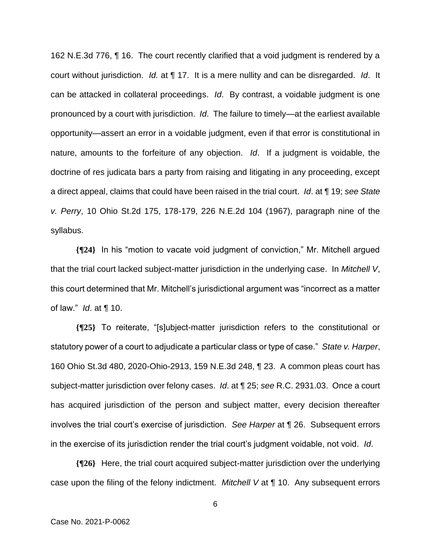162 N.E.3d 776, ¶ 16. The court recently clarified that a void judgment is rendered by a court without jurisdiction. *Id.* at ¶ 17. It is a mere nullity and can be disregarded. *Id*. It can be attacked in collateral proceedings. *Id*. By contrast, a voidable judgment is one pronounced by a court with jurisdiction. *Id*. The failure to timely—at the earliest available opportunity—assert an error in a voidable judgment, even if that error is constitutional in nature, amounts to the forfeiture of any objection. *Id*. If a judgment is voidable, the doctrine of res judicata bars a party from raising and litigating in any proceeding, except a direct appeal, claims that could have been raised in the trial court. *Id*. at ¶ 19; *see State v. Perry*, 10 Ohio St.2d 175, 178-179, 226 N.E.2d 104 (1967), paragraph nine of the syllabus.

**{¶24}** In his "motion to vacate void judgment of conviction," Mr. Mitchell argued that the trial court lacked subject-matter jurisdiction in the underlying case. In *Mitchell V*, this court determined that Mr. Mitchell's jurisdictional argument was "incorrect as a matter of law." *Id*. at ¶ 10.

**{¶25}** To reiterate, "[s]ubject-matter jurisdiction refers to the constitutional or statutory power of a court to adjudicate a particular class or type of case." *State v. Harper*, 160 Ohio St.3d 480, 2020-Ohio-2913, 159 N.E.3d 248, ¶ 23. A common pleas court has subject-matter jurisdiction over felony cases. *Id*. at ¶ 25; *see* R.C. 2931.03. Once a court has acquired jurisdiction of the person and subject matter, every decision thereafter involves the trial court's exercise of jurisdiction. *See Harper* at ¶ 26. Subsequent errors in the exercise of its jurisdiction render the trial court's judgment voidable, not void. *Id*.

**{¶26}** Here, the trial court acquired subject-matter jurisdiction over the underlying case upon the filing of the felony indictment. *Mitchell V* at ¶ 10. Any subsequent errors